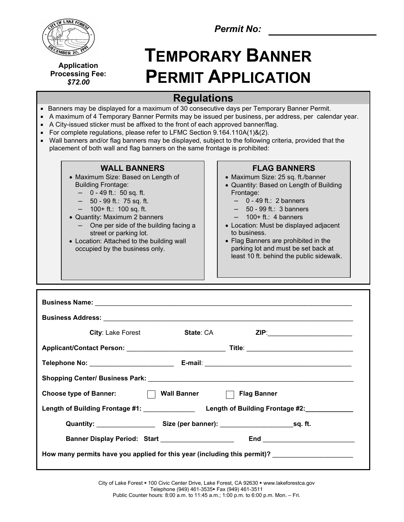

**Application Processing Fee:** *\$72.00*

*Permit No:*

# **TEMPORARY BANNER PERMIT APPLICATION**

## **Regulations**

- Banners may be displayed for a maximum of 30 consecutive days per Temporary Banner Permit.
- A maximum of 4 Temporary Banner Permits may be issued per business, per address, per calendar year.
- A City-issued sticker must be affixed to the front of each approved banner/flag.
- For complete regulations, please refer to LFMC Section 9.164.110A(1)&(2).
- Wall banners and/or flag banners may be displayed, subject to the following criteria, provided that the placement of both wall and flag banners on the same frontage is prohibited:

#### **WALL BANNERS**

- Maximum Size: Based on Length of Building Frontage:
	- 0 49 ft.: 50 sq. ft.
	- 50 99 ft.: 75 sq. ft.
	- 100+ ft.: 100 sq. ft.
- Quantity: Maximum 2 banners
- One per side of the building facing a street or parking lot.
- Location: Attached to the building wall occupied by the business only.

### **FLAG BANNERS**

- Maximum Size: 25 sq. ft./banner
- Quantity: Based on Length of Building Frontage:
	- $-$  0 49 ft.: 2 banners
	- 50 99 ft.: 3 banners
	- $-$  100+ ft.: 4 banners
- Location: Must be displayed adjacent to business.
- Flag Banners are prohibited in the parking lot and must be set back at least 10 ft. behind the public sidewalk.

| <b>City</b> : Lake Forest                                                                           | State: CA ZIP: 2010 2010 212 |
|-----------------------------------------------------------------------------------------------------|------------------------------|
|                                                                                                     |                              |
|                                                                                                     |                              |
|                                                                                                     |                              |
| Choose type of Banner:<br>T Wall Banner<br>T Flag Banner                                            |                              |
|                                                                                                     |                              |
|                                                                                                     |                              |
| Banner Display Period: Start National Assembly Property Start                                       |                              |
| How many permits have you applied for this year (including this permit)? __________________________ |                              |